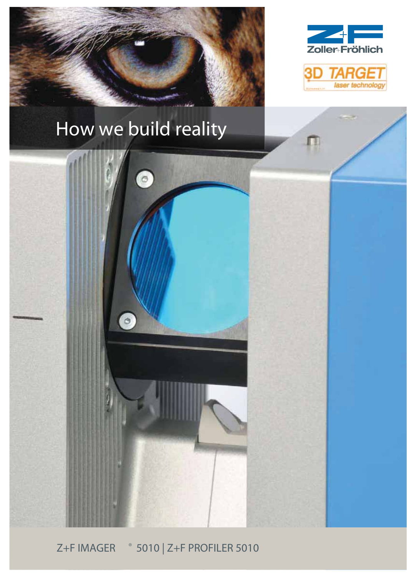



 $\blacksquare$ 

technolo





<sup>®</sup> 5010 | Z+F PROFILER 5010 **Z+FIMAGER**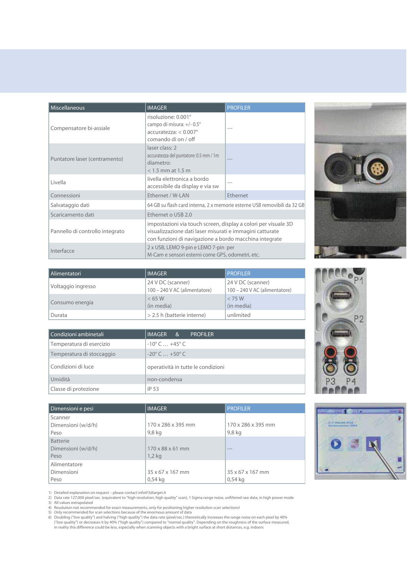| Miscellaneous                   | <b>IMAGER</b>                                                                                                                                                                        | <b>PROFILER</b> |  |
|---------------------------------|--------------------------------------------------------------------------------------------------------------------------------------------------------------------------------------|-----------------|--|
| Compensatore bi-assiale         | risoluzione: 0.001°<br>campo di misura: +/- 0.5°<br>$accuratezza: < 0.007^\circ$<br>comando di on / off                                                                              |                 |  |
| Puntatore laser (centramento)   | laser class: 2<br>accuratezza del puntatore: 0.5 mm / 1m<br>diametro:<br>$<$ 1.5 mm at 1.5 m                                                                                         |                 |  |
| Livella                         | livella elettronica a bordo<br>accessibile da display e via sw                                                                                                                       |                 |  |
| Connessioni                     | Ethernet / W-LAN                                                                                                                                                                     | Ethernet        |  |
| Salvataggio dati                | 64 GB su flash card interna, 2 x memorie esterne USB removibili da 32 GB                                                                                                             |                 |  |
| Scaricamento dati               | Ethernet o USB 2.0                                                                                                                                                                   |                 |  |
| Pannello di controllo integrato | impostazioni via touch screen, display a colori per visuale 3D<br>visualizzazione dati laser misurati e immagini catturate<br>con funzioni di navigazione a bordo macchina integrate |                 |  |
| Interfacce                      | 2 x USB, LEMO 9-pin e LEMO 7-pin per<br>M-Cam e sensori esterni come GPS, odometri, etc.                                                                                             |                 |  |

| l Alimentatori     | <b>IMAGER</b>                                      | <b>PROFILER</b>                                    |
|--------------------|----------------------------------------------------|----------------------------------------------------|
| Voltaggio ingresso | 24 V DC (scanner)<br>100 – 240 V AC (alimentatore) | 24 V DC (scanner)<br>100 - 240 V AC (alimentatore) |
| Consumo energia    | < 65 W<br>(in media)                               | < 75 W<br>(in media)                               |
| Durata             | > 2.5 h (batterie interne)                         | unlimited                                          |

| Condizioni ambinetali     | <b>IMAGER</b><br><b>PROFILER</b><br>୍ୟ |  |  |
|---------------------------|----------------------------------------|--|--|
| Temperatura di esercizio  | $-10^{\circ}$ C $ +45^{\circ}$ C       |  |  |
| Temperatura di stoccaggio | $-20^{\circ}$ C $ +50^{\circ}$ C       |  |  |
| Condizioni di luce        | operatività in tutte le condizioni     |  |  |
| Umidità                   | non-condensa                           |  |  |
| Classe di protezione      | IP 53                                  |  |  |

| Classe di protezione                          | コピ ココ                         |                               |  |  |  |
|-----------------------------------------------|-------------------------------|-------------------------------|--|--|--|
|                                               |                               |                               |  |  |  |
| Dimensioni e pesi                             | <b>IMAGER</b>                 | <b>PROFILER</b>               |  |  |  |
| Scanner<br>Dimensioni (w/d/h)<br>Peso         | 170 x 286 x 395 mm<br>9,8 kg  | 170 x 286 x 395 mm<br>9,8 kg  |  |  |  |
| <b>Batterie</b><br>Dimensioni (w/d/h)<br>Peso | 170 x 88 x 61 mm<br>$1,2$ kg  | $\qquad \qquad - -$           |  |  |  |
| Alimentatore<br>Dimensioni<br>Peso            | 35 x 67 x 167 mm<br>$0.54$ kg | 35 x 67 x 167 mm<br>$0.54$ kg |  |  |  |



1) Detailed explanation on request – please contact info@3dtarget.it<br>2) Data rate 127,000 pixel/sec. (equivalent to "high resolution, high quality" scan), 1 Sigma range noise, unfiltered raw data, in high power mode<br>3) Al

3) All values extrapolated<br>
4) Resolution not recommended for exact measurements, only for positioning higher resolution scan selections!<br>
4) Resolution not recommended for scan selections because of the enormous amount of



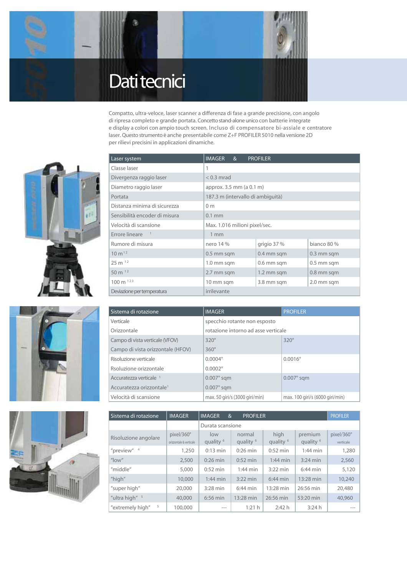

Compatto, ultra-veloce, laser scanner a differenza di fase a grande precisione, con angolo di ripresa completo e grande portata. Concetto stand-alone unico con batterie integrate e display a colori con ampio touch screen. Incluso di compensatore bi-assiale e centratore laser. Questo strumento è anche presentabile come Z+F PROFILER 5010 nella versione 2D per rilievi precisini in applicazioni dinamiche.







| Laser system                  | <b>IMAGER</b><br>&                | <b>PROFILER</b>          |              |  |
|-------------------------------|-----------------------------------|--------------------------|--------------|--|
| Classe laser                  | 1                                 |                          |              |  |
| Divergenza raggio laser       | $< 0.3$ mrad                      |                          |              |  |
| Diametro raggio laser         | approx. 3.5 mm (a 0.1 m)          |                          |              |  |
| Portata                       | 187.3 m (intervallo di ambiguità) |                          |              |  |
| Distanza minima di sicurezza  | 0 <sub>m</sub>                    |                          |              |  |
| Sensibilità encoder di misura | $0.1$ mm                          |                          |              |  |
| Velocità di scansione         | Max. 1.016 milioni pixel/sec.     |                          |              |  |
| Errore lineare                | 1 <sub>mm</sub>                   |                          |              |  |
| Rumore di misura              | nero 14 %                         | grigio 37%               | bianco 80 %  |  |
| $10 \, \text{m}^{12}$         | $0.5$ mm sqm                      | 0.4 mm sqm               | $0.3$ mm sqm |  |
| $25 m$ <sup>12</sup>          | 1.0 mm sqm                        | 0.6 mm sqm               | $0.5$ mm sqm |  |
| 50 m $12$                     | 2.7 mm sqm                        | 0.8 mm sqm<br>1.2 mm sqm |              |  |
| $100 \text{ m}^{123}$         | 10 mm sqm                         | 3.8 mm sqm               | 2.0 mm sqm   |  |
| Deviazione per temperatura    | irrilevante                       |                          |              |  |

| Sistema di rotazione                 | <b>IMAGER</b>                       | <b>PROFILER</b>                 |  |  |
|--------------------------------------|-------------------------------------|---------------------------------|--|--|
| Verticale                            | specchio rotante non esposto        |                                 |  |  |
| Orizzontale                          | rotazione intorno ad asse verticale |                                 |  |  |
| Campo di vista verticale (VFOV)      | $320^\circ$                         | $320^\circ$                     |  |  |
| Campo di vista orizzontale (HFOV)    | $360^\circ$                         |                                 |  |  |
| Risoluzione verticale                | $0.0004^{\circ}$                    | $0.0016^{\circ}$                |  |  |
| Rsoluzione orizzontale               | $0.0002^{\circ}$                    |                                 |  |  |
| Accuratezza verticale <sup>1</sup>   | $0.007^\circ$ sqm                   | $0.007^\circ$ sqm               |  |  |
| Accuratezza orizzontale <sup>1</sup> | $0.007^\circ$ sqm                   |                                 |  |  |
| Velocità di scansione                | max. 50 giri/s (3000 giri/min)      | max. 100 giri/s (6000 giri/min) |  |  |

| Sistema di rotazione   | <b>IMAGER</b>                         | <b>IMAGER</b><br><b>PROFILER</b><br>$\alpha$ |                                |                              | <b>PROFILER</b>                 |                         |
|------------------------|---------------------------------------|----------------------------------------------|--------------------------------|------------------------------|---------------------------------|-------------------------|
|                        |                                       | Durata scansione                             |                                |                              |                                 |                         |
| Risoluzione angolare   | pixel/360°<br>orizzontale & verticale | low<br>quality <sup>6</sup>                  | normal<br>quality <sup>6</sup> | high<br>quality <sup>6</sup> | premium<br>quality <sup>6</sup> | pixel/360°<br>verticale |
| "preview" $4$          | 1,250                                 | $0:13$ min                                   | $0:26$ min                     | $0:52 \text{ min}$           | $1:44$ min                      | 1,280                   |
| $^{\prime\prime}$ low" | 2,500                                 | $0:26$ min                                   | $0:52$ min                     | $1:44$ min                   | $3:24$ min                      | 2,560                   |
| "middle"               | 5,000                                 | $0:52$ min                                   | $1:44$ min                     | $3:22$ min                   | $6:44$ min                      | 5,120                   |
| "high"                 | 10,000                                | $1:44$ min                                   | $3:22$ min                     | $6:44$ min                   | 13:28 min                       | 10,240                  |
| "super high"           | 20,000                                | $3:28$ min                                   | $6:44$ min                     | 13:28 min                    | 26:56 min                       | 20,480                  |
| "ultra high" 5         | 40,000                                | $6:56 \text{ min}$                           | 13:28 min                      | 26:56 min                    | 53:20 min                       | 40,960                  |
| 5<br>"extremely high"  | 100,000                               | $- - -$                                      | 1:21 h                         | 2:42h                        | 3:24h                           | ---                     |